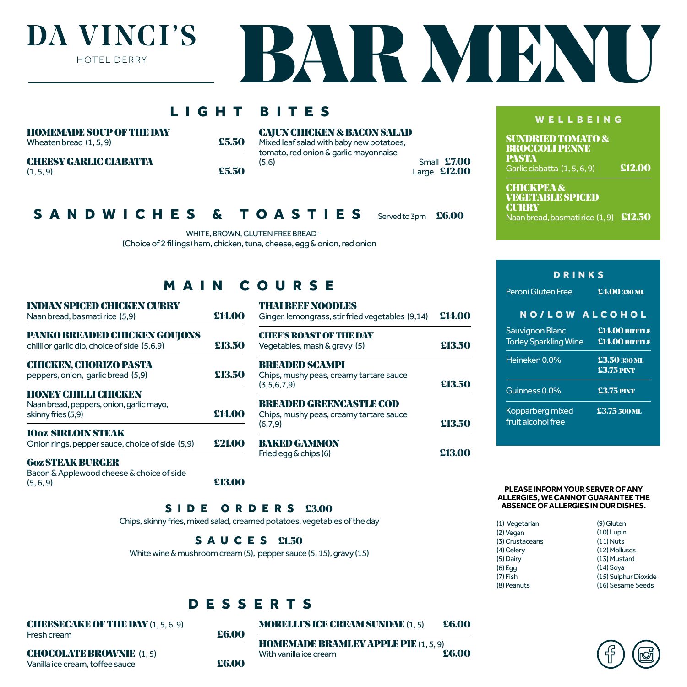## DA VINCI'S HOTEL DERRY



| IGHT                                                                                      |                            | BITES                                                                                                                                              |        | WELLBEING                                                                                                     |                                       |
|-------------------------------------------------------------------------------------------|----------------------------|----------------------------------------------------------------------------------------------------------------------------------------------------|--------|---------------------------------------------------------------------------------------------------------------|---------------------------------------|
| <b>HOMEMADE SOUP OF THE DAY</b><br>Wheaten bread $(1, 5, 9)$                              | £5.50                      | <b>CAJUN CHICKEN &amp; BACON SALAD</b><br>Mixed leaf salad with baby new potatoes,<br>tomato, red onion & garlic mayonnaise                        |        | <b>SUNDRIED TOMATO &amp;</b><br><b>BROCCOLI PENNE</b>                                                         |                                       |
| <b>CHEESY GARLIC CIABATTA</b><br>(1, 5, 9)                                                | £5.50                      | <b>Small £7.00</b><br>(5,6)<br>Large $£12.00$                                                                                                      |        | <b>PASTA</b><br>Garlic ciabatta (1, 5, 6, 9)                                                                  | £12.00                                |
| <b>SANDWICHES</b>                                                                         | $\boldsymbol{\mathcal{S}}$ | <b>TOASTIES</b><br>Served to 3pm<br>WHITE, BROWN, GLUTEN FREE BREAD -<br>(Choice of 2 fillings) ham, chicken, tuna, cheese, egg & onion, red onion | £6.00  | <b>CHICKPEA &amp;</b><br><b>VEGETABLE SPICED</b><br><b>CURRY</b><br>Naan bread, basmatirice (1,9) £12.50      |                                       |
| MAIN                                                                                      |                            | COURSE                                                                                                                                             |        | <b>DRINKS</b><br>Peroni Gluten Free                                                                           | £4.00 330 ML                          |
| <b>INDIAN SPICED CHICKEN CURRY</b><br>Naan bread, basmati rice (5,9)                      | £14.00                     | <b>THATBEENOODLES</b><br>Ginger, lemongrass, stir fried vegetables (9,14)                                                                          | £14.00 | NO/LOW ALCOHOL                                                                                                |                                       |
| PANKO BREADED CHICKEN GOUJONS<br>chilli or garlic dip, choice of side (5,6,9)             | £13.50                     | <b>CHEF'S ROAST OF THE DAY</b><br>Vegetables, mash & gravy (5)                                                                                     | £13.50 | Sauvignon Blanc<br><b>Torley Sparkling Wine</b>                                                               | <b>£14.00 BOTTLE</b><br>£14.00 BOTTLE |
| <b>CHICKEN, CHORIZO PASTA</b><br>peppers, onion, garlic bread (5,9)                       | £13.50                     | <b>BREADED SCAMPI</b><br>Chips, mushy peas, creamy tartare sauce                                                                                   |        | Heineken 0.0%                                                                                                 | £3.50 330 ML<br><b>£3.75 PINT</b>     |
| <b>HONEY CHILLI CHICKEN</b>                                                               |                            | £13.50<br>(3,5,6,7,9)                                                                                                                              |        | Guinness 0.0%                                                                                                 | <b>£3.75 PINT</b>                     |
| Naan bread, peppers, onion, garlic mayo,<br>skinny fries (5,9)                            | £14.00                     | <b>BREADED GREENCASTLE COD</b><br>Chips, mushy peas, creamy tartare sauce<br>(6,7,9)                                                               | £13.50 | Kopparberg mixed<br>fruit alcohol free                                                                        | £3.75 500 ML                          |
| <b>10oz SIRLOIN STFAK</b><br>Onion rings, pepper sauce, choice of side (5,9)              | £21.00                     | <b>BAKED GAMMON</b>                                                                                                                                | £13.00 |                                                                                                               |                                       |
| <b>6oz STFAK BURGER</b><br>Bacon & Applewood cheese & choice of side<br>(5, 6, 9)<br>SIDE | £13.00                     | Fried egg & chips (6)<br>£3.00<br>ORDERS                                                                                                           |        | PLEASE INFORM YOUR SERVER OF ANY<br>ALLERGIES, WE CANNOT GUARANTEE THE<br>ABSENCE OF ALLERGIES IN OUR DISHES. |                                       |
| Chips, skinny fries, mixed salad, creamed potatoes, vegetables of the day                 |                            |                                                                                                                                                    |        | (1) Vegetarian                                                                                                | (9) Gluten                            |

SAUCES £1.50

White wine & mushroom cream (5), pepper sauce (5, 15), gravy (15)

### DESSERTS

CHEESECAKE OF THE DAY (1, 5, 6, 9) Fresh cream **£6.00** 

#### MORELLI'S ICE CREAM SUNDAE  $(1, 5)$  £6.00

**HOMEMADE BRAMLEY APPLE PIE** (1, 5, 9)<br>With vanilla ice cream **E6.00** With vanilla ice cream

CHOCOLATE BROWNIE (1, 5) Vanilla ice cream, toffee sauce **26.00** 

#### **PLEASE INFORM YOUR SERVER OF ANY ALLERGIES, WE CANNOT GUARANTEE THE ABSENCE OF ALLERGIES IN OUR DISHES.**

| (1) Vegetarian  | (9) Gluten           |
|-----------------|----------------------|
| (2) Vegan       | $(10)$ Lupin         |
| (3) Crustaceans | $(11)$ Nuts          |
| (4) Celery      | (12) Molluscs        |
| (5) Dairy       | (13) Mustard         |
| $(6)$ Egg       | $(14)$ Soya          |
| $(7)$ Fish      | (15) Sulphur Dioxide |
| (8) Peanuts     | (16) Sesame Seeds    |
|                 |                      |